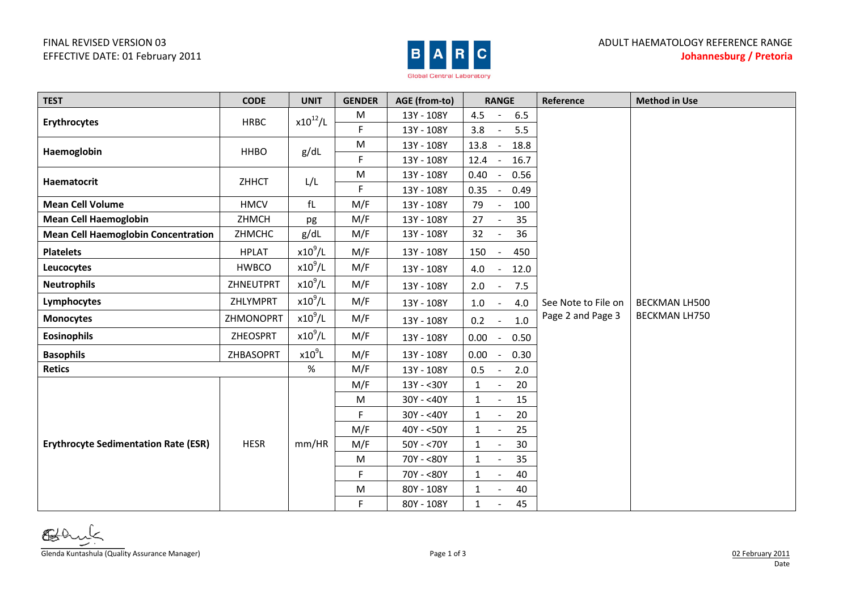## FINAL REVISED VERSION 03 EFFECTIVE DATE: 01 February 2011



| <b>TEST</b>                                 | <b>CODE</b>  | <b>UNIT</b>  | <b>GENDER</b> | AGE (from-to) | <b>RANGE</b>                   | Reference           | <b>Method in Use</b> |
|---------------------------------------------|--------------|--------------|---------------|---------------|--------------------------------|---------------------|----------------------|
|                                             |              |              | M             | 13Y - 108Y    | 4.5<br>6.5                     |                     |                      |
| <b>Erythrocytes</b>                         | <b>HRBC</b>  | $x10^{12}/L$ | F             | 13Y - 108Y    | 3.8<br>5.5                     |                     |                      |
| Haemoglobin                                 | <b>HHBO</b>  | g/dL         | M             | 13Y - 108Y    | 13.8<br>18.8                   |                     |                      |
|                                             |              |              | F             | 13Y - 108Y    | 12.4<br>16.7<br>$\sim$         |                     |                      |
| <b>Haematocrit</b>                          | ZHHCT        | L/L          | ${\sf M}$     | 13Y - 108Y    | 0.40<br>0.56                   |                     |                      |
|                                             |              |              | F             | 13Y - 108Y    | 0.49<br>0.35                   |                     |                      |
| <b>Mean Cell Volume</b>                     | <b>HMCV</b>  | fL           | M/F           | 13Y - 108Y    | 79<br>100                      |                     |                      |
| <b>Mean Cell Haemoglobin</b>                | ZHMCH        | pg           | M/F           | 13Y - 108Y    | 35<br>27                       |                     |                      |
| <b>Mean Cell Haemoglobin Concentration</b>  | ZHMCHC       | g/dL         | M/F           | 13Y - 108Y    | 32<br>36                       |                     |                      |
| <b>Platelets</b>                            | <b>HPLAT</b> | $x10^9$ /L   | M/F           | 13Y - 108Y    | 150<br>450                     |                     |                      |
| Leucocytes                                  | <b>HWBCO</b> | $x10^9$ /L   | M/F           | 13Y - 108Y    | 4.0<br>12.0<br>$\blacksquare$  |                     |                      |
| <b>Neutrophils</b>                          | ZHNEUTPRT    | $x10^9$ /L   | M/F           | 13Y - 108Y    | 2.0<br>7.5                     |                     |                      |
| Lymphocytes                                 | ZHLYMPRT     | $x10^9$ /L   | M/F           | 13Y - 108Y    | 1.0<br>4.0                     | See Note to File on | <b>BECKMAN LH500</b> |
| <b>Monocytes</b>                            | ZHMONOPRT    | $x10^9$ /L   | M/F           | 13Y - 108Y    | 0.2<br>1.0                     | Page 2 and Page 3   | <b>BECKMAN LH750</b> |
| <b>Eosinophils</b>                          | ZHEOSPRT     | $x10^9$ /L   | M/F           | 13Y - 108Y    | 0.00<br>0.50<br>$\blacksquare$ |                     |                      |
| <b>Basophils</b>                            | ZHBASOPRT    | $x10^9$ L    | M/F           | 13Y - 108Y    | 0.00<br>0.30                   |                     |                      |
| <b>Retics</b>                               |              | %            | M/F           | 13Y - 108Y    | 0.5<br>2.0                     |                     |                      |
|                                             | <b>HESR</b>  | mm/HR        | M/F           | 13Y - < 30Y   | 20<br>$\mathbf{1}$             |                     |                      |
| <b>Erythrocyte Sedimentation Rate (ESR)</b> |              |              | M             | $30Y - 40Y$   | 15<br>$\mathbf{1}$             |                     |                      |
|                                             |              |              | F.            | $30Y - 40Y$   | 20<br>$\mathbf{1}$             |                     |                      |
|                                             |              |              | M/F           | $40Y - 50Y$   | 25<br>$\mathbf{1}$             |                     |                      |
|                                             |              |              | M/F           | $50Y - 70Y$   | 30<br>$\mathbf{1}$             |                     |                      |
|                                             |              |              | M             | 70Y - <80Y    | 35<br>$\mathbf{1}$             |                     |                      |
|                                             |              |              | F             | 70Y - <80Y    | 40<br>$\mathbf{1}$             |                     |                      |
|                                             |              |              | M             | 80Y - 108Y    | 40<br>$\mathbf{1}$             |                     |                      |
|                                             |              |              | F             | 80Y - 108Y    | 45<br>$\mathbf{1}$             |                     |                      |

Glenda Kuntashula (Quality Assurance Manager) Page 1 of 3 02 February 2011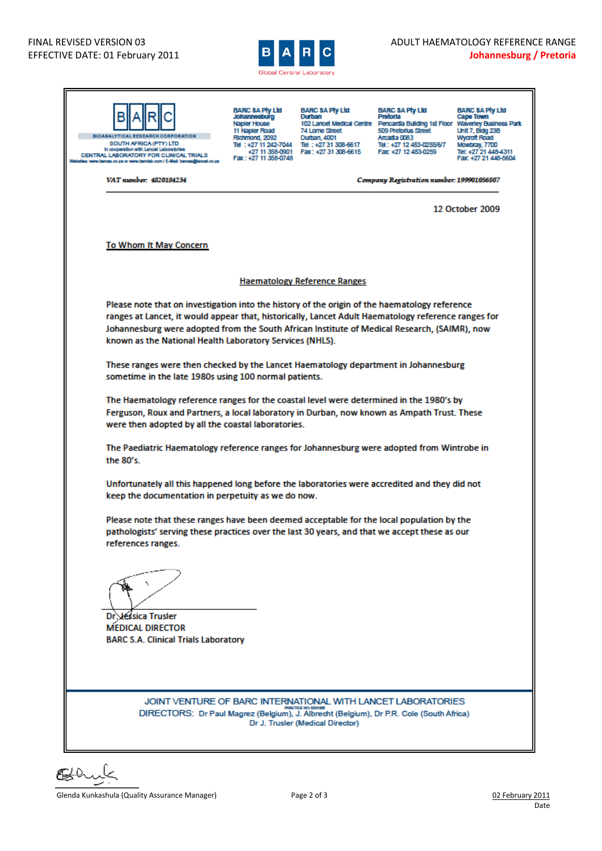

| <b>BIOANALYTICAL RESEARCH CORPORATION</b><br>SOUTH AFRICA (PTY) LTD<br>In cooperation with Lancet Laboratories<br>CENTRAL LABORATORY FOR CLINICAL TRIALS<br>ites: www.barcea.co.za or www.barciab.com / E-Mail: barcea@iancet.co.za                                                                                                                              | BARC SA Pty Ltd<br>Johannesburg<br>Napler House<br>11 Napler Road<br>Richmond, 2092<br>Fax: +27 11 358-0748 | <b>BARC SA Pty Ltd</b><br>Durban<br>74 Lorne Street<br>Durban, 4001<br>Tel: +27 11 242-7044 Tel: +27 31 308-6617<br>+27 11 358-0901   Fax: +27 31 308-6615 | <b>BARC SA Pty Ltd</b><br><b>Pretoria</b><br>102 Lancet Medical Centre Pencardia Building 1st Floor Waverley Business Park<br>509 Pretorius Street<br>Arcada 0083<br>Tel: +27 12 483-0255/6/7<br>Fax: +27 12 483-0259 | BARC SA Pty Ltd<br>Cape Town<br>Unit 7, Bidg 23B<br><b>Wycroft Road</b><br>Mowbray, 7700<br>Tel: +27 21 448-4311<br>Fax: +27 21 448-5604 |  |  |
|------------------------------------------------------------------------------------------------------------------------------------------------------------------------------------------------------------------------------------------------------------------------------------------------------------------------------------------------------------------|-------------------------------------------------------------------------------------------------------------|------------------------------------------------------------------------------------------------------------------------------------------------------------|-----------------------------------------------------------------------------------------------------------------------------------------------------------------------------------------------------------------------|------------------------------------------------------------------------------------------------------------------------------------------|--|--|
| VAT number: 4820184234                                                                                                                                                                                                                                                                                                                                           |                                                                                                             |                                                                                                                                                            | Company Registration number: 199901056807                                                                                                                                                                             |                                                                                                                                          |  |  |
|                                                                                                                                                                                                                                                                                                                                                                  |                                                                                                             |                                                                                                                                                            |                                                                                                                                                                                                                       | 12 October 2009                                                                                                                          |  |  |
| <b>To Whom It May Concern</b>                                                                                                                                                                                                                                                                                                                                    |                                                                                                             |                                                                                                                                                            |                                                                                                                                                                                                                       |                                                                                                                                          |  |  |
|                                                                                                                                                                                                                                                                                                                                                                  |                                                                                                             |                                                                                                                                                            |                                                                                                                                                                                                                       |                                                                                                                                          |  |  |
|                                                                                                                                                                                                                                                                                                                                                                  |                                                                                                             | <b>Haematology Reference Ranges</b>                                                                                                                        |                                                                                                                                                                                                                       |                                                                                                                                          |  |  |
| Please note that on investigation into the history of the origin of the haematology reference<br>ranges at Lancet, it would appear that, historically, Lancet Adult Haematology reference ranges for<br>Johannesburg were adopted from the South African Institute of Medical Research, (SAIMR), now<br>known as the National Health Laboratory Services (NHLS). |                                                                                                             |                                                                                                                                                            |                                                                                                                                                                                                                       |                                                                                                                                          |  |  |
| These ranges were then checked by the Lancet Haematology department in Johannesburg<br>sometime in the late 1980s using 100 normal patients.                                                                                                                                                                                                                     |                                                                                                             |                                                                                                                                                            |                                                                                                                                                                                                                       |                                                                                                                                          |  |  |
| The Haematology reference ranges for the coastal level were determined in the 1980's by<br>Ferguson, Roux and Partners, a local laboratory in Durban, now known as Ampath Trust. These<br>were then adopted by all the coastal laboratories.                                                                                                                     |                                                                                                             |                                                                                                                                                            |                                                                                                                                                                                                                       |                                                                                                                                          |  |  |
| The Paediatric Haematology reference ranges for Johannesburg were adopted from Wintrobe in<br>the 80's.                                                                                                                                                                                                                                                          |                                                                                                             |                                                                                                                                                            |                                                                                                                                                                                                                       |                                                                                                                                          |  |  |
| Unfortunately all this happened long before the laboratories were accredited and they did not<br>keep the documentation in perpetuity as we do now.                                                                                                                                                                                                              |                                                                                                             |                                                                                                                                                            |                                                                                                                                                                                                                       |                                                                                                                                          |  |  |
| Please note that these ranges have been deemed acceptable for the local population by the<br>pathologists' serving these practices over the last 30 years, and that we accept these as our<br>references ranges.                                                                                                                                                 |                                                                                                             |                                                                                                                                                            |                                                                                                                                                                                                                       |                                                                                                                                          |  |  |
| Jessica Trusler<br><b>MEDICAL DIRECTOR</b><br><b>BARC S.A. Clinical Trials Laboratory</b>                                                                                                                                                                                                                                                                        |                                                                                                             |                                                                                                                                                            |                                                                                                                                                                                                                       |                                                                                                                                          |  |  |
| JOINT VENTURE OF BARC INTERNATIONAL WITH LANCET LABORATORIES<br>DIRECTORS: Dr Paul Magrez (Belgium), J. Albrecht (Belgium), Dr P.R. Cole (South Africa)                                                                                                                                                                                                          |                                                                                                             | RACTICS NO: 5201035<br>Dr J. Trusler (Medical Director)                                                                                                    |                                                                                                                                                                                                                       |                                                                                                                                          |  |  |



Glenda Kunkashula (Quality Assurance Manager) **Page 2 of 3** 02 February 2011